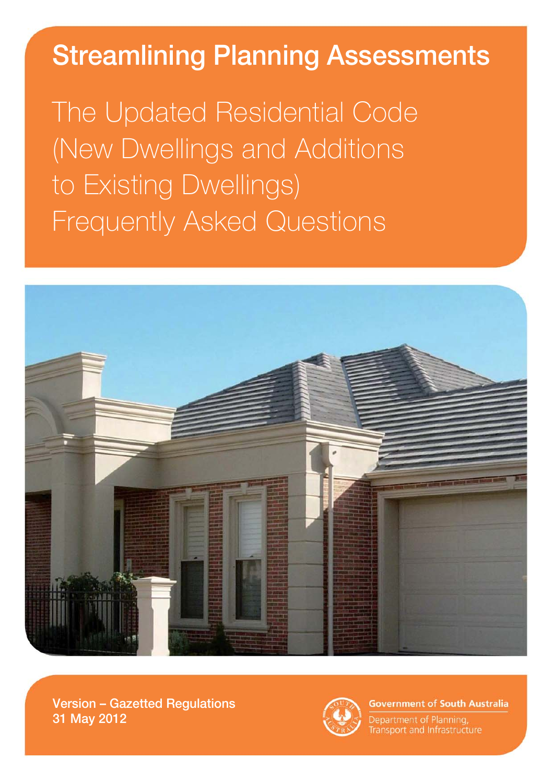# Streamlining Planning Assessments

The Updated Residential Code (New Dwellings and Additions to Existing Dwellings) Frequently Asked Questions



Version – Gazetted Regulations 31 May 2012



**Government of South Australia** 

Department of Planning, Transport and Infrastructure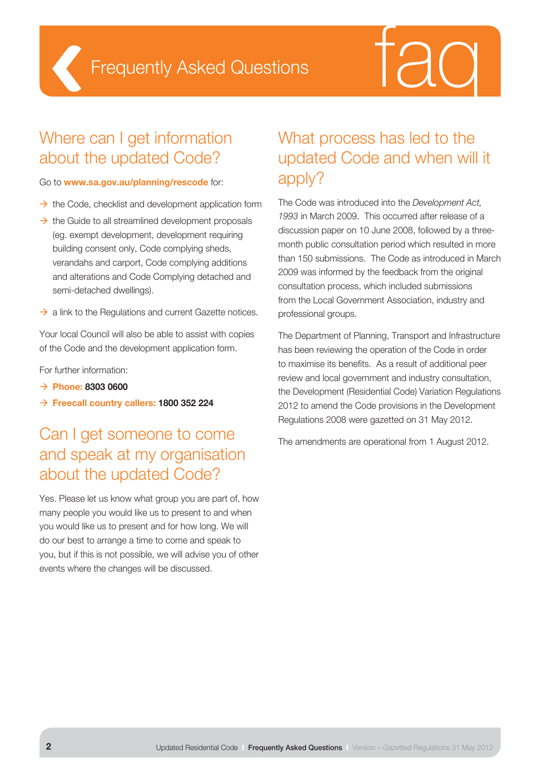



#### Where can I get information about the updated Code?

#### Go to **www.sa.gov.au/planning/rescode** for:

- $\rightarrow$  the Code, checklist and development application form
- $\rightarrow$  the Guide to all streamlined development proposals (eg. exempt development, development requiring building consent only, Code complying sheds, verandahs and carport, Code complying additions and alterations and Code Complying detached and semi-detached dwellings).
- $\rightarrow$  a link to the Regulations and current Gazette notices.

Your local Council will also be able to assist with copies of the Code and the development application form.

For further information:

- **Phone: 8303 0600**
- **Freecall country callers: 1800 352 224**

#### Can I get someone to come and speak at my organisation about the updated Code?

Yes. Please let us know what group you are part of, how many people you would like us to present to and when you would like us to present and for how long. We will do our best to arrange a time to come and speak to you, but if this is not possible, we will advise you of other events where the changes will be discussed.

#### What process has led to the updated Code and when will it apply?

The Code was introduced into the *Development Act, 1993* in March 2009. This occurred after release of a discussion paper on 10 June 2008, followed by a threemonth public consultation period which resulted in more than 150 submissions. The Code as introduced in March 2009 was informed by the feedback from the original consultation process, which included submissions from the Local Government Association, industry and professional groups.

The Department of Planning, Transport and Infrastructure has been reviewing the operation of the Code in order to maximise its benefits. As a result of additional peer review and local government and industry consultation, the Development (Residential Code) Variation Regulations 2012 to amend the Code provisions in the Development Regulations 2008 were gazetted on 31 May 2012.

The amendments are operational from 1 August 2012.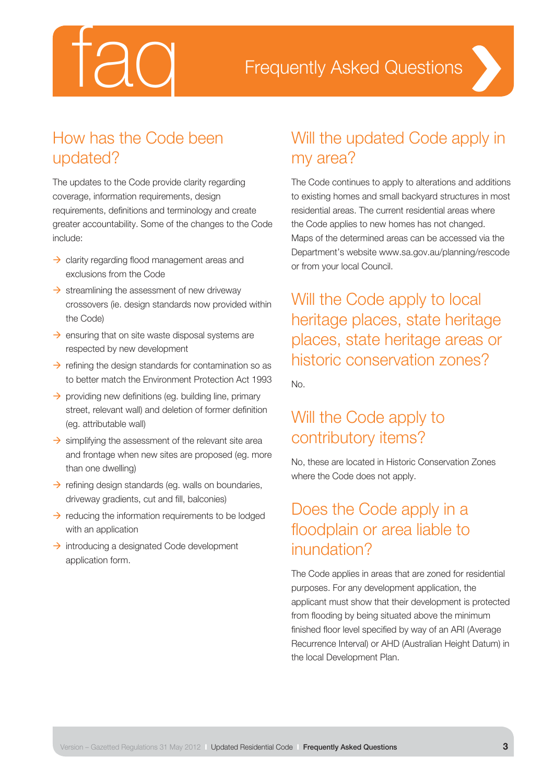

#### How has the Code been updated?

The updates to the Code provide clarity regarding coverage, information requirements, design requirements, definitions and terminology and create greater accountability. Some of the changes to the Code include:

- $\rightarrow$  clarity regarding flood management areas and exclusions from the Code
- $\rightarrow$  streamlining the assessment of new driveway crossovers (ie. design standards now provided within the Code)
- $\rightarrow$  ensuring that on site waste disposal systems are respected by new development
- $\rightarrow$  refining the design standards for contamination so as to better match the Environment Protection Act 1993
- $\rightarrow$  providing new definitions (eg. building line, primary street, relevant wall) and deletion of former definition (eg. attributable wall)
- $\rightarrow$  simplifying the assessment of the relevant site area and frontage when new sites are proposed (eg. more than one dwelling)
- $\rightarrow$  refining design standards (eg. walls on boundaries, driveway gradients, cut and fill, balconies)
- $\rightarrow$  reducing the information requirements to be lodged with an application
- $\rightarrow$  introducing a designated Code development application form.

### Will the updated Code apply in my area?

The Code continues to apply to alterations and additions to existing homes and small backyard structures in most residential areas. The current residential areas where the Code applies to new homes has not changed. Maps of the determined areas can be accessed via the Department's website www.sa.gov.au/planning/rescode or from your local Council.

Will the Code apply to local heritage places, state heritage places, state heritage areas or historic conservation zones?

No.

#### Will the Code apply to contributory items?

No, these are located in Historic Conservation Zones where the Code does not apply.

#### Does the Code apply in a floodplain or area liable to inundation?

The Code applies in areas that are zoned for residential purposes. For any development application, the applicant must show that their development is protected from flooding by being situated above the minimum finished floor level specified by way of an ARI (Average Recurrence Interval) or AHD (Australian Height Datum) in the local Development Plan.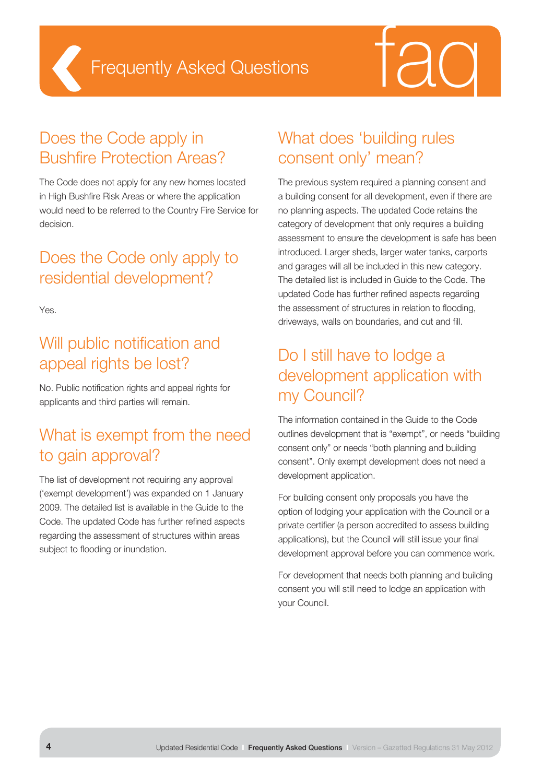



#### Does the Code apply in Bushfire Protection Areas?

The Code does not apply for any new homes located in High Bushfire Risk Areas or where the application would need to be referred to the Country Fire Service for decision.

#### Does the Code only apply to residential development?

Yes.

### Will public notification and appeal rights be lost?

No. Public notification rights and appeal rights for applicants and third parties will remain.

# What is exempt from the need to gain approval?

The list of development not requiring any approval ('exempt development') was expanded on 1 January 2009. The detailed list is available in the Guide to the Code. The updated Code has further refined aspects regarding the assessment of structures within areas subject to flooding or inundation.

# What does 'building rules consent only' mean?

The previous system required a planning consent and a building consent for all development, even if there are no planning aspects. The updated Code retains the category of development that only requires a building assessment to ensure the development is safe has been introduced. Larger sheds, larger water tanks, carports and garages will all be included in this new category. The detailed list is included in Guide to the Code. The updated Code has further refined aspects regarding the assessment of structures in relation to flooding, driveways, walls on boundaries, and cut and fill.

#### Do I still have to lodge a development application with my Council?

The information contained in the Guide to the Code outlines development that is "exempt", or needs "building consent only" or needs "both planning and building consent". Only exempt development does not need a development application.

For building consent only proposals you have the option of lodging your application with the Council or a private certifier (a person accredited to assess building applications), but the Council will still issue your final development approval before you can commence work.

For development that needs both planning and building consent you will still need to lodge an application with your Council.